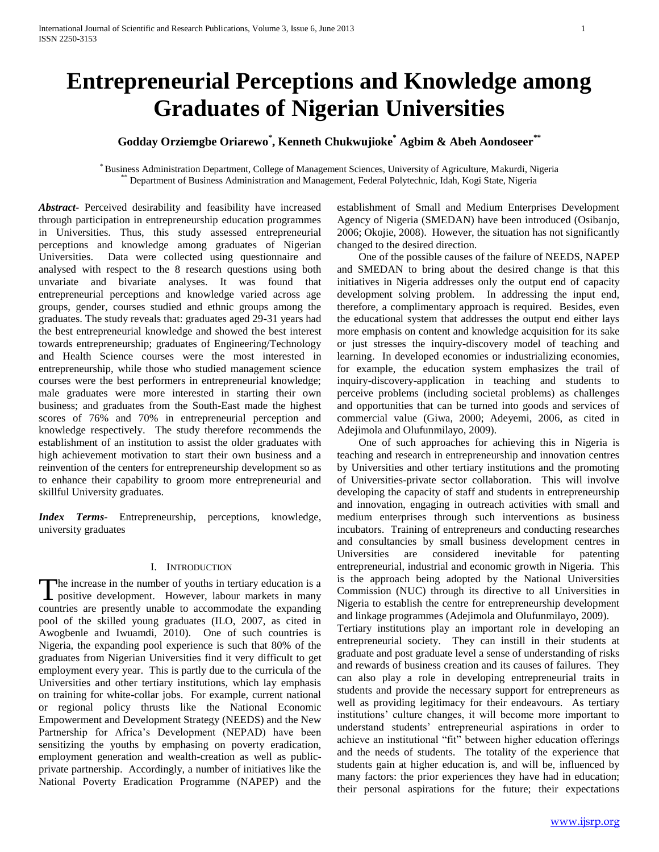# **Entrepreneurial Perceptions and Knowledge among Graduates of Nigerian Universities**

### **Godday Orziemgbe Oriarewo\* , Kenneth Chukwujioke\* Agbim & Abeh Aondoseer\*\***

\* Business Administration Department, College of Management Sciences, University of Agriculture, Makurdi, Nigeria Department of Business Administration and Management, Federal Polytechnic, Idah, Kogi State, Nigeria

*Abstract***-** Perceived desirability and feasibility have increased through participation in entrepreneurship education programmes in Universities. Thus, this study assessed entrepreneurial perceptions and knowledge among graduates of Nigerian Universities. Data were collected using questionnaire and analysed with respect to the 8 research questions using both unvariate and bivariate analyses. It was found that entrepreneurial perceptions and knowledge varied across age groups, gender, courses studied and ethnic groups among the graduates. The study reveals that: graduates aged 29-31 years had the best entrepreneurial knowledge and showed the best interest towards entrepreneurship; graduates of Engineering/Technology and Health Science courses were the most interested in entrepreneurship, while those who studied management science courses were the best performers in entrepreneurial knowledge; male graduates were more interested in starting their own business; and graduates from the South-East made the highest scores of 76% and 70% in entrepreneurial perception and knowledge respectively. The study therefore recommends the establishment of an institution to assist the older graduates with high achievement motivation to start their own business and a reinvention of the centers for entrepreneurship development so as to enhance their capability to groom more entrepreneurial and skillful University graduates.

*Index Terms*- Entrepreneurship, perceptions, knowledge, university graduates

#### I. INTRODUCTION

he increase in the number of youths in tertiary education is a The increase in the number of youths in tertiary education is a positive development. However, labour markets in many countries are presently unable to accommodate the expanding pool of the skilled young graduates (ILO, 2007, as cited in Awogbenle and Iwuamdi, 2010). One of such countries is Nigeria, the expanding pool experience is such that 80% of the graduates from Nigerian Universities find it very difficult to get employment every year. This is partly due to the curricula of the Universities and other tertiary institutions, which lay emphasis on training for white-collar jobs. For example, current national or regional policy thrusts like the National Economic Empowerment and Development Strategy (NEEDS) and the New Partnership for Africa's Development (NEPAD) have been sensitizing the youths by emphasing on poverty eradication, employment generation and wealth-creation as well as publicprivate partnership. Accordingly, a number of initiatives like the National Poverty Eradication Programme (NAPEP) and the

establishment of Small and Medium Enterprises Development Agency of Nigeria (SMEDAN) have been introduced (Osibanjo, 2006; Okojie, 2008). However, the situation has not significantly changed to the desired direction.

 One of the possible causes of the failure of NEEDS, NAPEP and SMEDAN to bring about the desired change is that this initiatives in Nigeria addresses only the output end of capacity development solving problem. In addressing the input end, therefore, a complimentary approach is required. Besides, even the educational system that addresses the output end either lays more emphasis on content and knowledge acquisition for its sake or just stresses the inquiry-discovery model of teaching and learning. In developed economies or industrializing economies, for example, the education system emphasizes the trail of inquiry-discovery-application in teaching and students to perceive problems (including societal problems) as challenges and opportunities that can be turned into goods and services of commercial value (Giwa, 2000; Adeyemi, 2006, as cited in Adejimola and Olufunmilayo, 2009).

 One of such approaches for achieving this in Nigeria is teaching and research in entrepreneurship and innovation centres by Universities and other tertiary institutions and the promoting of Universities-private sector collaboration. This will involve developing the capacity of staff and students in entrepreneurship and innovation, engaging in outreach activities with small and medium enterprises through such interventions as business incubators. Training of entrepreneurs and conducting researches and consultancies by small business development centres in Universities are considered inevitable for patenting entrepreneurial, industrial and economic growth in Nigeria. This is the approach being adopted by the National Universities Commission (NUC) through its directive to all Universities in Nigeria to establish the centre for entrepreneurship development and linkage programmes (Adejimola and Olufunmilayo, 2009).

Tertiary institutions play an important role in developing an entrepreneurial society. They can instill in their students at graduate and post graduate level a sense of understanding of risks and rewards of business creation and its causes of failures. They can also play a role in developing entrepreneurial traits in students and provide the necessary support for entrepreneurs as well as providing legitimacy for their endeavours. As tertiary institutions' culture changes, it will become more important to understand students' entrepreneurial aspirations in order to achieve an institutional "fit" between higher education offerings and the needs of students. The totality of the experience that students gain at higher education is, and will be, influenced by many factors: the prior experiences they have had in education; their personal aspirations for the future; their expectations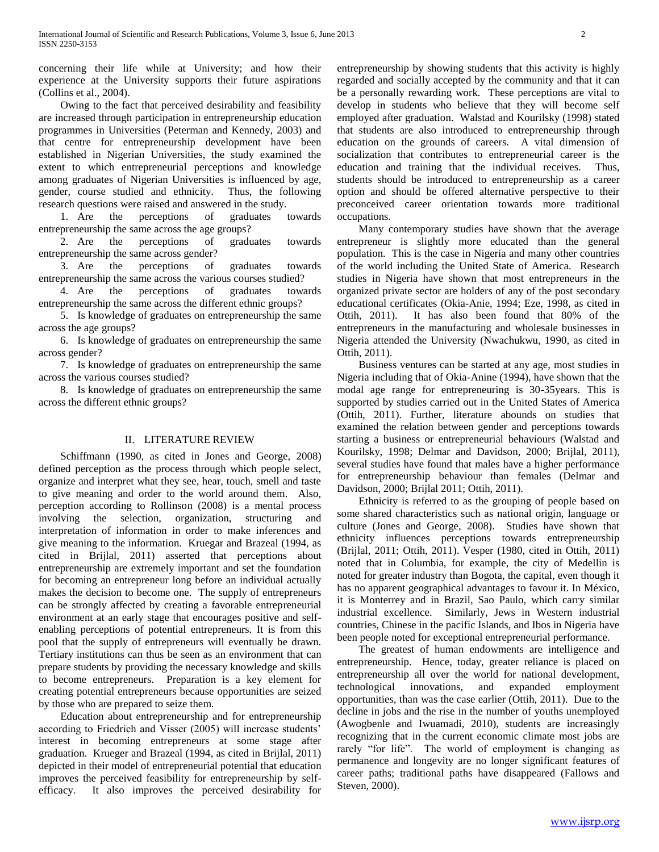concerning their life while at University; and how their experience at the University supports their future aspirations (Collins et al., 2004).

 Owing to the fact that perceived desirability and feasibility are increased through participation in entrepreneurship education programmes in Universities (Peterman and Kennedy, 2003) and that centre for entrepreneurship development have been established in Nigerian Universities, the study examined the extent to which entrepreneurial perceptions and knowledge among graduates of Nigerian Universities is influenced by age, gender, course studied and ethnicity. Thus, the following research questions were raised and answered in the study.

 1. Are the perceptions of graduates towards entrepreneurship the same across the age groups?

 2. Are the perceptions of graduates towards entrepreneurship the same across gender?

 3. Are the perceptions of graduates towards entrepreneurship the same across the various courses studied?

 4. Are the perceptions of graduates towards entrepreneurship the same across the different ethnic groups?

 5. Is knowledge of graduates on entrepreneurship the same across the age groups?

 6. Is knowledge of graduates on entrepreneurship the same across gender?

 7. Is knowledge of graduates on entrepreneurship the same across the various courses studied?

 8. Is knowledge of graduates on entrepreneurship the same across the different ethnic groups?

#### II. LITERATURE REVIEW

 Schiffmann (1990, as cited in Jones and George, 2008) defined perception as the process through which people select, organize and interpret what they see, hear, touch, smell and taste to give meaning and order to the world around them. Also, perception according to Rollinson (2008) is a mental process involving the selection, organization, structuring and interpretation of information in order to make inferences and give meaning to the information. Kruegar and Brazeal (1994, as cited in Brijlal, 2011) asserted that perceptions about entrepreneurship are extremely important and set the foundation for becoming an entrepreneur long before an individual actually makes the decision to become one. The supply of entrepreneurs can be strongly affected by creating a favorable entrepreneurial environment at an early stage that encourages positive and selfenabling perceptions of potential entrepreneurs. It is from this pool that the supply of entrepreneurs will eventually be drawn. Tertiary institutions can thus be seen as an environment that can prepare students by providing the necessary knowledge and skills to become entrepreneurs. Preparation is a key element for creating potential entrepreneurs because opportunities are seized by those who are prepared to seize them.

 Education about entrepreneurship and for entrepreneurship according to Friedrich and Visser (2005) will increase students' interest in becoming entrepreneurs at some stage after graduation. Krueger and Brazeal (1994, as cited in Brijlal, 2011) depicted in their model of entrepreneurial potential that education improves the perceived feasibility for entrepreneurship by selfefficacy. It also improves the perceived desirability for

entrepreneurship by showing students that this activity is highly regarded and socially accepted by the community and that it can be a personally rewarding work. These perceptions are vital to develop in students who believe that they will become self employed after graduation. Walstad and Kourilsky (1998) stated that students are also introduced to entrepreneurship through education on the grounds of careers. A vital dimension of socialization that contributes to entrepreneurial career is the education and training that the individual receives. Thus, students should be introduced to entrepreneurship as a career option and should be offered alternative perspective to their preconceived career orientation towards more traditional occupations.

 Many contemporary studies have shown that the average entrepreneur is slightly more educated than the general population. This is the case in Nigeria and many other countries of the world including the United State of America. Research studies in Nigeria have shown that most entrepreneurs in the organized private sector are holders of any of the post secondary educational certificates (Okia-Anie, 1994; Eze, 1998, as cited in Ottih, 2011). It has also been found that 80% of the entrepreneurs in the manufacturing and wholesale businesses in Nigeria attended the University (Nwachukwu, 1990, as cited in Ottih, 2011).

 Business ventures can be started at any age, most studies in Nigeria including that of Okia-Anine (1994), have shown that the modal age range for entrepreneuring is 30-35years. This is supported by studies carried out in the United States of America (Ottih, 2011). Further, literature abounds on studies that examined the relation between gender and perceptions towards starting a business or entrepreneurial behaviours (Walstad and Kourilsky, 1998; Delmar and Davidson, 2000; Brijlal, 2011), several studies have found that males have a higher performance for entrepreneurship behaviour than females (Delmar and Davidson, 2000; Brijlal 2011; Ottih, 2011).

 Ethnicity is referred to as the grouping of people based on some shared characteristics such as national origin, language or culture (Jones and George, 2008). Studies have shown that ethnicity influences perceptions towards entrepreneurship (Brijlal, 2011; Ottih, 2011). Vesper (1980, cited in Ottih, 2011) noted that in Columbia, for example, the city of Medellin is noted for greater industry than Bogota, the capital, even though it has no apparent geographical advantages to favour it. In México, it is Monterrey and in Brazil, Sao Paulo, which carry similar industrial excellence. Similarly, Jews in Western industrial countries, Chinese in the pacific Islands, and Ibos in Nigeria have been people noted for exceptional entrepreneurial performance.

 The greatest of human endowments are intelligence and entrepreneurship. Hence, today, greater reliance is placed on entrepreneurship all over the world for national development, technological innovations, and expanded employment opportunities, than was the case earlier (Ottih, 2011). Due to the decline in jobs and the rise in the number of youths unemployed (Awogbenle and Iwuamadi, 2010), students are increasingly recognizing that in the current economic climate most jobs are rarely "for life". The world of employment is changing as permanence and longevity are no longer significant features of career paths; traditional paths have disappeared (Fallows and Steven, 2000).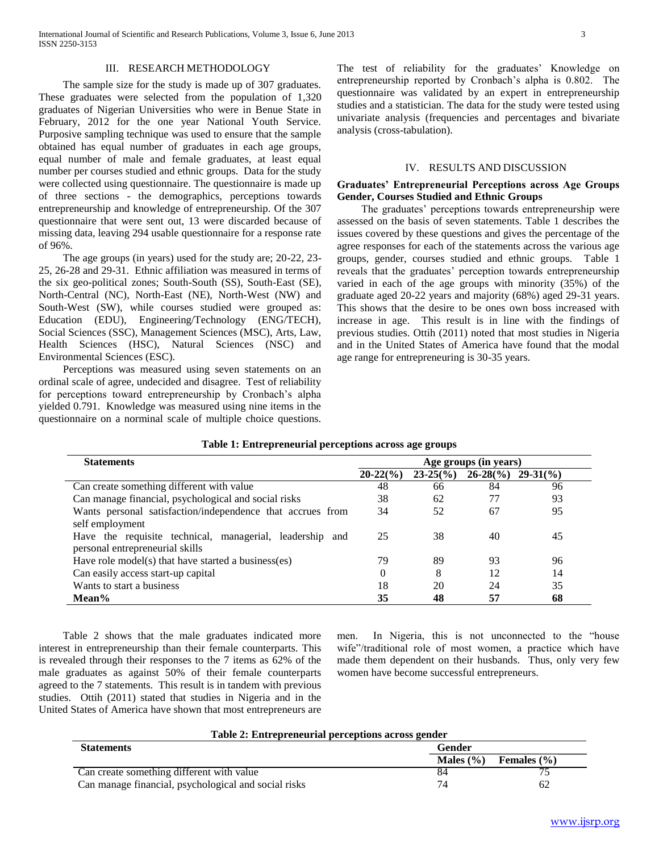#### III. RESEARCH METHODOLOGY

 The sample size for the study is made up of 307 graduates. These graduates were selected from the population of 1,320 graduates of Nigerian Universities who were in Benue State in February, 2012 for the one year National Youth Service. Purposive sampling technique was used to ensure that the sample obtained has equal number of graduates in each age groups, equal number of male and female graduates, at least equal number per courses studied and ethnic groups. Data for the study were collected using questionnaire. The questionnaire is made up of three sections - the demographics, perceptions towards entrepreneurship and knowledge of entrepreneurship. Of the 307 questionnaire that were sent out, 13 were discarded because of missing data, leaving 294 usable questionnaire for a response rate of 96%.

 The age groups (in years) used for the study are; 20-22, 23- 25, 26-28 and 29-31. Ethnic affiliation was measured in terms of the six geo-political zones; South-South (SS), South-East (SE), North-Central (NC), North-East (NE), North-West (NW) and South-West (SW), while courses studied were grouped as: Education (EDU), Engineering/Technology (ENG/TECH), Social Sciences (SSC), Management Sciences (MSC), Arts, Law, Health Sciences (HSC), Natural Sciences (NSC) and Environmental Sciences (ESC).

 Perceptions was measured using seven statements on an ordinal scale of agree, undecided and disagree. Test of reliability for perceptions toward entrepreneurship by Cronbach's alpha yielded 0.791. Knowledge was measured using nine items in the questionnaire on a norminal scale of multiple choice questions. The test of reliability for the graduates' Knowledge on entrepreneurship reported by Cronbach's alpha is 0.802. The questionnaire was validated by an expert in entrepreneurship studies and a statistician. The data for the study were tested using univariate analysis (frequencies and percentages and bivariate analysis (cross-tabulation).

#### IV. RESULTS AND DISCUSSION

#### **Graduates' Entrepreneurial Perceptions across Age Groups Gender, Courses Studied and Ethnic Groups**

 The graduates' perceptions towards entrepreneurship were assessed on the basis of seven statements. Table 1 describes the issues covered by these questions and gives the percentage of the agree responses for each of the statements across the various age groups, gender, courses studied and ethnic groups. Table 1 reveals that the graduates' perception towards entrepreneurship varied in each of the age groups with minority (35%) of the graduate aged 20-22 years and majority (68%) aged 29-31 years. This shows that the desire to be ones own boss increased with increase in age. This result is in line with the findings of previous studies. Ottih (2011) noted that most studies in Nigeria and in the United States of America have found that the modal age range for entrepreneuring is 30-35 years.

| <b>Statements</b>                                          | Age groups (in years) |                     |                      |    |  |  |
|------------------------------------------------------------|-----------------------|---------------------|----------------------|----|--|--|
|                                                            | $20-22(%)$            | $23-25\binom{6}{0}$ | $26-28(\%)$ 29-31(%) |    |  |  |
| Can create something different with value                  | 48                    | 66                  | 84                   | 96 |  |  |
| Can manage financial, psychological and social risks       | 38                    | 62                  | 77                   | 93 |  |  |
| Wants personal satisfaction/independence that accrues from | 34                    | 52                  | 67                   | 95 |  |  |
| self employment                                            |                       |                     |                      |    |  |  |
| Have the requisite technical, managerial, leadership and   | 25                    | 38                  | 40                   | 45 |  |  |
| personal entrepreneurial skills                            |                       |                     |                      |    |  |  |
| Have role model(s) that have started a business(es)        | 79                    | 89                  | 93                   | 96 |  |  |
| Can easily access start-up capital                         | 0                     | 8                   | 12                   | 14 |  |  |
| Wants to start a business                                  | 18                    | 20                  | 24                   | 35 |  |  |
| Mean%                                                      | 35                    | 48                  | 57                   | 68 |  |  |

#### **Table 1: Entrepreneurial perceptions across age groups**

 Table 2 shows that the male graduates indicated more interest in entrepreneurship than their female counterparts. This is revealed through their responses to the 7 items as 62% of the male graduates as against 50% of their female counterparts agreed to the 7 statements. This result is in tandem with previous studies. Ottih (2011) stated that studies in Nigeria and in the United States of America have shown that most entrepreneurs are men. In Nigeria, this is not unconnected to the "house wife"/traditional role of most women, a practice which have made them dependent on their husbands. Thus, only very few women have become successful entrepreneurs.

#### **Table 2: Entrepreneurial perceptions across gender**

| <b>Statements</b>                                    | Gender        |                 |  |  |  |  |
|------------------------------------------------------|---------------|-----------------|--|--|--|--|
|                                                      | Males $(\% )$ | Females $(\% )$ |  |  |  |  |
| Can create something different with value            |               |                 |  |  |  |  |
| Can manage financial, psychological and social risks |               |                 |  |  |  |  |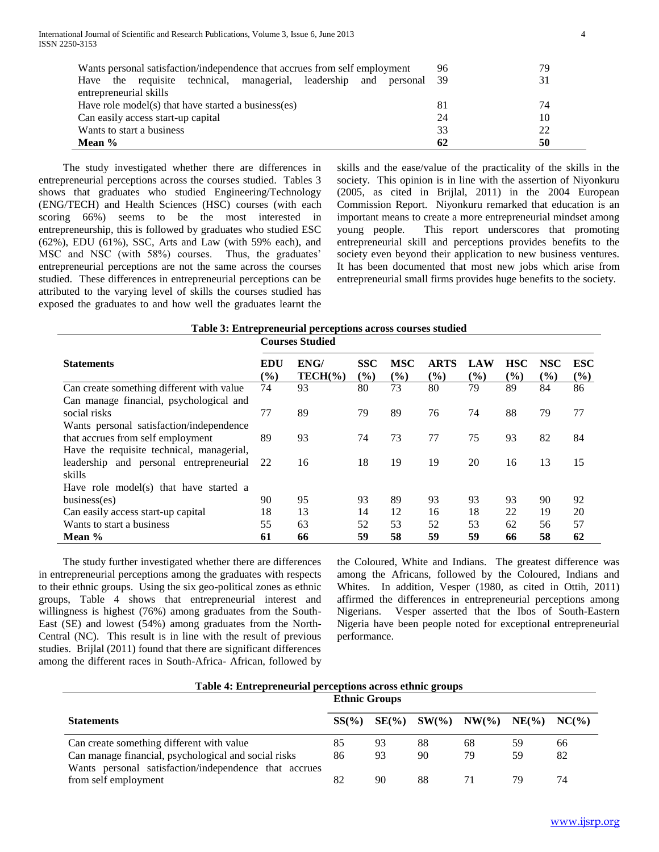| Wants personal satisfaction/independence that accrues from self employment    | 96 | 79 |  |  |  |  |
|-------------------------------------------------------------------------------|----|----|--|--|--|--|
| the requisite technical, managerial, leadership<br>and<br>personal 39<br>Have |    | 31 |  |  |  |  |
| entrepreneurial skills                                                        |    |    |  |  |  |  |
| Have role model(s) that have started a business(es)                           | 81 | 74 |  |  |  |  |
| Can easily access start-up capital                                            | 24 | 10 |  |  |  |  |
| Wants to start a business                                                     | 33 | 22 |  |  |  |  |
| Mean $%$                                                                      | 62 | 50 |  |  |  |  |

 The study investigated whether there are differences in entrepreneurial perceptions across the courses studied. Tables 3 shows that graduates who studied Engineering/Technology (ENG/TECH) and Health Sciences (HSC) courses (with each scoring 66%) seems to be the most interested in entrepreneurship, this is followed by graduates who studied ESC (62%), EDU (61%), SSC, Arts and Law (with 59% each), and MSC and NSC (with 58%) courses. Thus, the graduates' entrepreneurial perceptions are not the same across the courses studied. These differences in entrepreneurial perceptions can be attributed to the varying level of skills the courses studied has exposed the graduates to and how well the graduates learnt the skills and the ease/value of the practicality of the skills in the society. This opinion is in line with the assertion of Niyonkuru (2005, as cited in Brijlal, 2011) in the 2004 European Commission Report. Niyonkuru remarked that education is an important means to create a more entrepreneurial mindset among young people. This report underscores that promoting entrepreneurial skill and perceptions provides benefits to the society even beyond their application to new business ventures. It has been documented that most new jobs which arise from entrepreneurial small firms provides huge benefits to the society.

|                                           | <b>Courses Studied</b>                     |                     |                      |                   |                       |                      |                      |                   |                   |
|-------------------------------------------|--------------------------------------------|---------------------|----------------------|-------------------|-----------------------|----------------------|----------------------|-------------------|-------------------|
| <b>Statements</b>                         | <b>EDU</b><br>$\left( \frac{0}{0} \right)$ | ENG/<br>$TECH(\% )$ | <b>SSC</b><br>$($ %) | <b>MSC</b><br>(%) | <b>ARTS</b><br>$($ %) | LAW<br>$\frac{6}{2}$ | <b>HSC</b><br>$($ %) | <b>NSC</b><br>(%) | <b>ESC</b><br>(%) |
| Can create something different with value | 74                                         | 93                  | 80                   | 73                | 80                    | 79                   | 89                   | 84                | 86                |
| Can manage financial, psychological and   |                                            |                     |                      |                   |                       |                      |                      |                   |                   |
| social risks                              | 77                                         | 89                  | 79                   | 89                | 76                    | 74                   | 88                   | 79                | 77                |
| Wants personal satisfaction/independence  |                                            |                     |                      |                   |                       |                      |                      |                   |                   |
| that accrues from self employment         | 89                                         | 93                  | 74                   | 73                | 77                    | 75                   | 93                   | 82                | 84                |
| Have the requisite technical, managerial, |                                            |                     |                      |                   |                       |                      |                      |                   |                   |
| leadership and personal entrepreneurial   | 22                                         | 16                  | 18                   | 19                | 19                    | 20                   | 16                   | 13                | 15                |
| skills                                    |                                            |                     |                      |                   |                       |                      |                      |                   |                   |
| Have role model(s) that have started a    |                                            |                     |                      |                   |                       |                      |                      |                   |                   |
| business(es)                              | 90                                         | 95                  | 93                   | 89                | 93                    | 93                   | 93                   | 90                | 92                |
| Can easily access start-up capital        | 18                                         | 13                  | 14                   | 12                | 16                    | 18                   | 22                   | 19                | 20                |
| Wants to start a business                 | 55                                         | 63                  | 52                   | 53                | 52                    | 53                   | 62                   | 56                | 57                |
| Mean %                                    | 61                                         | 66                  | 59                   | 58                | 59                    | 59                   | 66                   | 58                | 62                |

 The study further investigated whether there are differences in entrepreneurial perceptions among the graduates with respects to their ethnic groups. Using the six geo-political zones as ethnic groups, Table 4 shows that entrepreneurial interest and willingness is highest (76%) among graduates from the South-East (SE) and lowest (54%) among graduates from the North-Central (NC). This result is in line with the result of previous studies. Brijlal (2011) found that there are significant differences among the different races in South-Africa- African, followed by

the Coloured, White and Indians. The greatest difference was among the Africans, followed by the Coloured, Indians and Whites. In addition, Vesper (1980, as cited in Ottih, 2011) affirmed the differences in entrepreneurial perceptions among Nigerians. Vesper asserted that the Ibos of South-Eastern Nigeria have been people noted for exceptional entrepreneurial performance.

|                                                       | <b>Ethnic Groups</b> |    |    |                                              |    |    |  |  |
|-------------------------------------------------------|----------------------|----|----|----------------------------------------------|----|----|--|--|
| <b>Statements</b>                                     | SS(%)                |    |    | $SE(\%)$ $SW(\%)$ $NW(\%)$ $NE(\%)$ $NC(\%)$ |    |    |  |  |
| Can create something different with value             | 85                   | 93 | 88 | 68                                           | 59 | 66 |  |  |
| Can manage financial, psychological and social risks  | 86                   | 93 | 90 | 79                                           | 59 | 82 |  |  |
| Wants personal satisfaction/independence that accrues |                      |    |    |                                              |    |    |  |  |
| from self employment                                  | 82                   | 90 | 88 |                                              | 79 | 74 |  |  |

#### **Table 4: Entrepreneurial perceptions across ethnic groups**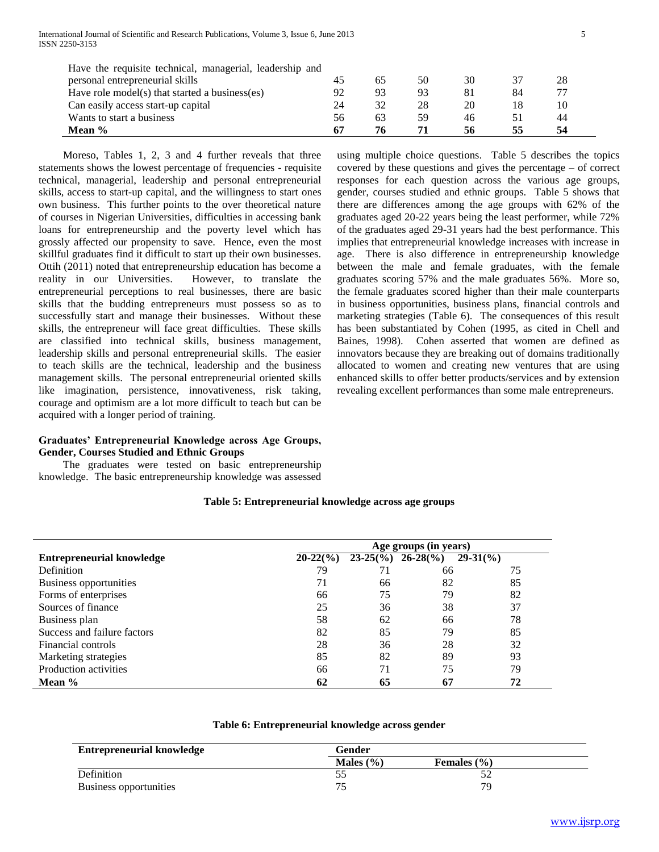| Have the requisite technical, managerial, leadership and |    |    |    |    |    |    |
|----------------------------------------------------------|----|----|----|----|----|----|
| personal entrepreneurial skills                          |    |    | 50 | 30 |    | 28 |
| Have role model(s) that started a business(es)           | 92 | 93 | 93 |    | 84 |    |
| Can easily access start-up capital                       | 24 | 32 | 28 | 20 |    | 10 |
| Wants to start a business                                | 56 | 63 | 59 | 46 |    | 44 |
| Mean $%$                                                 |    |    |    | 56 | 55 |    |

 Moreso, Tables 1, 2, 3 and 4 further reveals that three statements shows the lowest percentage of frequencies - requisite technical, managerial, leadership and personal entrepreneurial skills, access to start-up capital, and the willingness to start ones own business. This further points to the over theoretical nature of courses in Nigerian Universities, difficulties in accessing bank loans for entrepreneurship and the poverty level which has grossly affected our propensity to save. Hence, even the most skillful graduates find it difficult to start up their own businesses. Ottih (2011) noted that entrepreneurship education has become a reality in our Universities. However, to translate the entrepreneurial perceptions to real businesses, there are basic skills that the budding entrepreneurs must possess so as to successfully start and manage their businesses. Without these skills, the entrepreneur will face great difficulties. These skills are classified into technical skills, business management, leadership skills and personal entrepreneurial skills. The easier to teach skills are the technical, leadership and the business management skills. The personal entrepreneurial oriented skills like imagination, persistence, innovativeness, risk taking, courage and optimism are a lot more difficult to teach but can be acquired with a longer period of training.

#### **Graduates' Entrepreneurial Knowledge across Age Groups, Gender, Courses Studied and Ethnic Groups**

 The graduates were tested on basic entrepreneurship knowledge. The basic entrepreneurship knowledge was assessed using multiple choice questions. Table 5 describes the topics covered by these questions and gives the percentage – of correct responses for each question across the various age groups, gender, courses studied and ethnic groups. Table 5 shows that there are differences among the age groups with 62% of the graduates aged 20-22 years being the least performer, while 72% of the graduates aged 29-31 years had the best performance. This implies that entrepreneurial knowledge increases with increase in age. There is also difference in entrepreneurship knowledge between the male and female graduates, with the female graduates scoring 57% and the male graduates 56%. More so, the female graduates scored higher than their male counterparts in business opportunities, business plans, financial controls and marketing strategies (Table 6). The consequences of this result has been substantiated by Cohen (1995, as cited in Chell and Baines, 1998). Cohen asserted that women are defined as innovators because they are breaking out of domains traditionally allocated to women and creating new ventures that are using enhanced skills to offer better products/services and by extension revealing excellent performances than some male entrepreneurs.

## **Table 5: Entrepreneurial knowledge across age groups**

|                                  | Age groups (in years) |    |                                                    |                     |  |  |  |
|----------------------------------|-----------------------|----|----------------------------------------------------|---------------------|--|--|--|
| <b>Entrepreneurial knowledge</b> | $20-22(%)$            |    | $23-25\binom{9}{0}$ $\overline{26-28\binom{9}{0}}$ | $29-31\binom{0}{0}$ |  |  |  |
| <b>Definition</b>                | 79                    |    | 66                                                 | 75                  |  |  |  |
| Business opportunities           | 71                    | 66 | 82                                                 | 85                  |  |  |  |
| Forms of enterprises             | 66                    | 75 | 79                                                 | 82                  |  |  |  |
| Sources of finance               | 25                    | 36 | 38                                                 | 37                  |  |  |  |
| Business plan                    | 58                    | 62 | 66                                                 | 78                  |  |  |  |
| Success and failure factors      | 82                    | 85 | 79                                                 | 85                  |  |  |  |
| Financial controls               | 28                    | 36 | 28                                                 | 32                  |  |  |  |
| Marketing strategies             | 85                    | 82 | 89                                                 | 93                  |  |  |  |
| Production activities            | 66                    | 71 | 75                                                 | 79                  |  |  |  |
| Mean $%$                         | 62                    | 65 | 67                                                 | 72                  |  |  |  |

#### **Table 6: Entrepreneurial knowledge across gender**

| <b>Entrepreneurial knowledge</b> | Gender        |                 |  |
|----------------------------------|---------------|-----------------|--|
|                                  | Males $(\% )$ | Females $(\% )$ |  |
| Definition                       | ້∼            | ے ر             |  |
| Business opportunities           | 74            | 70              |  |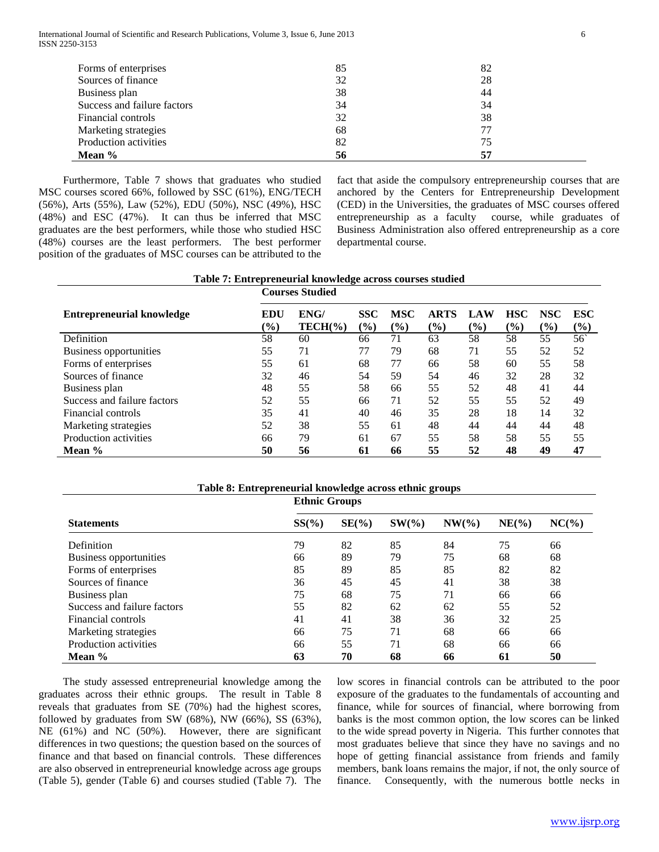| Forms of enterprises        | 85 | 82 |
|-----------------------------|----|----|
| Sources of finance          | 32 | 28 |
| Business plan               | 38 | 44 |
| Success and failure factors | 34 | 34 |
| Financial controls          | 32 | 38 |
| Marketing strategies        | 68 | 77 |
| Production activities       | 82 | 75 |
| Mean %                      | 56 | 57 |

 Furthermore, Table 7 shows that graduates who studied MSC courses scored 66%, followed by SSC (61%), ENG/TECH (56%), Arts (55%), Law (52%), EDU (50%), NSC (49%), HSC (48%) and ESC (47%). It can thus be inferred that MSC graduates are the best performers, while those who studied HSC (48%) courses are the least performers. The best performer position of the graduates of MSC courses can be attributed to the fact that aside the compulsory entrepreneurship courses that are anchored by the Centers for Entrepreneurship Development (CED) in the Universities, the graduates of MSC courses offered entrepreneurship as a faculty course, while graduates of Business Administration also offered entrepreneurship as a core departmental course.

**Table 7: Entrepreneurial knowledge across courses studied**

|                                  | <b>Courses Studied</b> |                     |                      |                                               |                |                                          |                      |                      |                      |
|----------------------------------|------------------------|---------------------|----------------------|-----------------------------------------------|----------------|------------------------------------------|----------------------|----------------------|----------------------|
| <b>Entrepreneurial knowledge</b> | EDU<br>$(\%)$          | ENG/<br>$TECH(\% )$ | <b>SSC</b><br>$(\%)$ | <b>MSC</b><br>$\frac{1}{2}$ ( $\frac{1}{2}$ ) | ARTS<br>$(\%)$ | <b>LAW</b><br>$\left(\frac{0}{0}\right)$ | <b>HSC</b><br>$($ %) | <b>NSC</b><br>$(\%)$ | <b>ESC</b><br>$(\%)$ |
| Definition                       | 58                     | 60                  | 66                   | 71                                            | 63             | 58                                       | 58                   | 55                   | 56                   |
| Business opportunities           | 55                     | 71                  | 77                   | 79                                            | 68             | 71                                       | 55                   | 52                   | 52                   |
| Forms of enterprises             | 55                     | 61                  | 68                   | 77                                            | 66             | 58                                       | 60                   | 55                   | 58                   |
| Sources of finance               | 32                     | 46                  | 54                   | 59                                            | 54             | 46                                       | 32                   | 28                   | 32                   |
| Business plan                    | 48                     | 55                  | 58                   | 66                                            | 55             | 52                                       | 48                   | 41                   | 44                   |
| Success and failure factors      | 52                     | 55                  | 66                   | 71                                            | 52             | 55                                       | 55                   | 52                   | 49                   |
| Financial controls               | 35                     | 41                  | 40                   | 46                                            | 35             | 28                                       | 18                   | 14                   | 32                   |
| Marketing strategies             | 52                     | 38                  | 55                   | 61                                            | 48             | 44                                       | 44                   | 44                   | 48                   |
| Production activities            | 66                     | 79                  | 61                   | 67                                            | 55             | 58                                       | 58                   | 55                   | 55                   |
| Mean %                           | 50                     | 56                  | 61                   | 66                                            | 55             | 52                                       | 48                   | 49                   | 47                   |

| Table 8: Entrepreneurial knowledge across ethnic groups |          |                      |          |           |          |          |  |  |
|---------------------------------------------------------|----------|----------------------|----------|-----------|----------|----------|--|--|
|                                                         |          | <b>Ethnic Groups</b> |          |           |          |          |  |  |
| <b>Statements</b>                                       | $SS(\%)$ | $SE(\%)$             | $SW(\%)$ | $NW(\% )$ | $NE(\%)$ | $NC(\%)$ |  |  |
| Definition                                              | 79       | 82                   | 85       | 84        | 75       | 66       |  |  |
| Business opportunities                                  | 66       | 89                   | 79       | 75        | 68       | 68       |  |  |
| Forms of enterprises                                    | 85       | 89                   | 85       | 85        | 82       | 82       |  |  |
| Sources of finance                                      | 36       | 45                   | 45       | 41        | 38       | 38       |  |  |
| Business plan                                           | 75       | 68                   | 75       | 71        | 66       | 66       |  |  |
| Success and failure factors                             | 55       | 82                   | 62       | 62        | 55       | 52       |  |  |
| Financial controls                                      | 41       | 41                   | 38       | 36        | 32       | 25       |  |  |
| Marketing strategies                                    | 66       | 75                   | 71       | 68        | 66       | 66       |  |  |
| Production activities                                   | 66       | 55                   | 71       | 68        | 66       | 66       |  |  |
| Mean %                                                  | 63       | 70                   | 68       | 66        | 61       | 50       |  |  |

 The study assessed entrepreneurial knowledge among the graduates across their ethnic groups. The result in Table 8 reveals that graduates from SE (70%) had the highest scores, followed by graduates from SW (68%), NW (66%), SS (63%), NE (61%) and NC (50%). However, there are significant differences in two questions; the question based on the sources of finance and that based on financial controls. These differences are also observed in entrepreneurial knowledge across age groups (Table 5), gender (Table 6) and courses studied (Table 7). The

low scores in financial controls can be attributed to the poor exposure of the graduates to the fundamentals of accounting and finance, while for sources of financial, where borrowing from banks is the most common option, the low scores can be linked to the wide spread poverty in Nigeria. This further connotes that most graduates believe that since they have no savings and no hope of getting financial assistance from friends and family members, bank loans remains the major, if not, the only source of finance. Consequently, with the numerous bottle necks in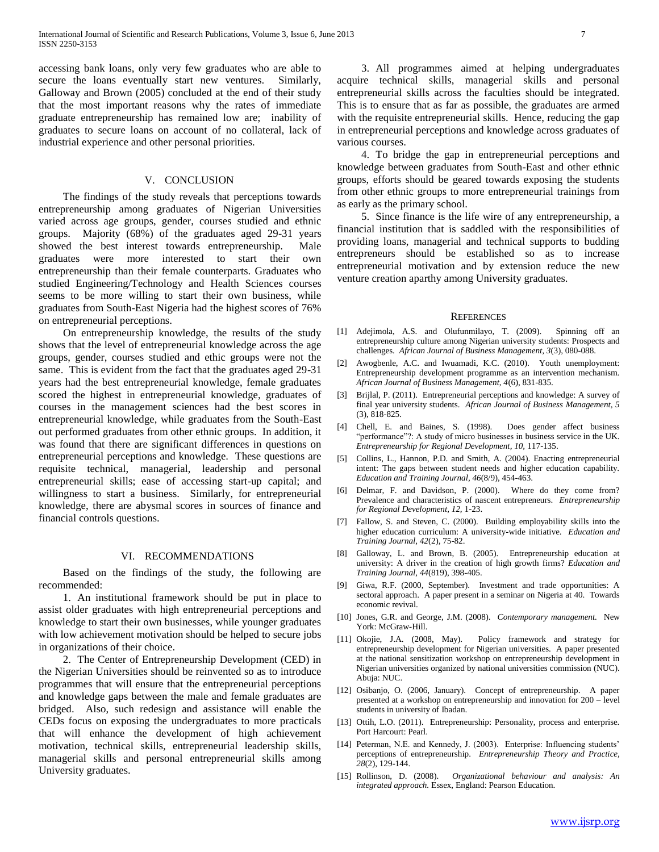accessing bank loans, only very few graduates who are able to secure the loans eventually start new ventures. Similarly, Galloway and Brown (2005) concluded at the end of their study that the most important reasons why the rates of immediate graduate entrepreneurship has remained low are; inability of graduates to secure loans on account of no collateral, lack of industrial experience and other personal priorities.

#### V. CONCLUSION

 The findings of the study reveals that perceptions towards entrepreneurship among graduates of Nigerian Universities varied across age groups, gender, courses studied and ethnic groups. Majority (68%) of the graduates aged 29-31 years showed the best interest towards entrepreneurship. Male graduates were more interested to start their own entrepreneurship than their female counterparts. Graduates who studied Engineering/Technology and Health Sciences courses seems to be more willing to start their own business, while graduates from South-East Nigeria had the highest scores of 76% on entrepreneurial perceptions.

 On entrepreneurship knowledge, the results of the study shows that the level of entrepreneurial knowledge across the age groups, gender, courses studied and ethic groups were not the same. This is evident from the fact that the graduates aged 29-31 years had the best entrepreneurial knowledge, female graduates scored the highest in entrepreneurial knowledge, graduates of courses in the management sciences had the best scores in entrepreneurial knowledge, while graduates from the South-East out performed graduates from other ethnic groups. In addition, it was found that there are significant differences in questions on entrepreneurial perceptions and knowledge. These questions are requisite technical, managerial, leadership and personal entrepreneurial skills; ease of accessing start-up capital; and willingness to start a business. Similarly, for entrepreneurial knowledge, there are abysmal scores in sources of finance and financial controls questions.

#### VI. RECOMMENDATIONS

 Based on the findings of the study, the following are recommended:

 1. An institutional framework should be put in place to assist older graduates with high entrepreneurial perceptions and knowledge to start their own businesses, while younger graduates with low achievement motivation should be helped to secure jobs in organizations of their choice.

 2. The Center of Entrepreneurship Development (CED) in the Nigerian Universities should be reinvented so as to introduce programmes that will ensure that the entrepreneurial perceptions and knowledge gaps between the male and female graduates are bridged. Also, such redesign and assistance will enable the CEDs focus on exposing the undergraduates to more practicals that will enhance the development of high achievement motivation, technical skills, entrepreneurial leadership skills, managerial skills and personal entrepreneurial skills among University graduates.

 3. All programmes aimed at helping undergraduates acquire technical skills, managerial skills and personal entrepreneurial skills across the faculties should be integrated. This is to ensure that as far as possible, the graduates are armed with the requisite entrepreneurial skills. Hence, reducing the gap in entrepreneurial perceptions and knowledge across graduates of various courses.

 4. To bridge the gap in entrepreneurial perceptions and knowledge between graduates from South-East and other ethnic groups, efforts should be geared towards exposing the students from other ethnic groups to more entrepreneurial trainings from as early as the primary school.

 5. Since finance is the life wire of any entrepreneurship, a financial institution that is saddled with the responsibilities of providing loans, managerial and technical supports to budding entrepreneurs should be established so as to increase entrepreneurial motivation and by extension reduce the new venture creation aparthy among University graduates.

#### **REFERENCES**

- [1] Adejimola, A.S. and Olufunmilayo, T. (2009). Spinning off an entrepreneurship culture among Nigerian university students: Prospects and challenges. *African Journal of Business Management, 3*(3), 080-088.
- [2] Awogbenle, A.C. and Iwuamadi, K.C. (2010). Youth unemployment: Entrepreneurship development programme as an intervention mechanism. *African Journal of Business Management, 4*(6), 831-835.
- [3] Brijlal, P. (2011). Entrepreneurial perceptions and knowledge: A survey of final year university students. *African Journal of Business Management, 5* (3), 818-825.
- [4] Chell, E. and Baines, S. (1998). Does gender affect business "performance"?: A study of micro businesses in business service in the UK. *Entrepreneurship for Regional Development, 10,* 117-135.
- [5] Collins, L., Hannon, P.D. and Smith, A. (2004). Enacting entrepreneurial intent: The gaps between student needs and higher education capability. *Education and Training Journal, 46*(8/9), 454-463.
- [6] Delmar, F. and Davidson, P. (2000). Where do they come from? Prevalence and characteristics of nascent entrepreneurs. *Entrepreneurship for Regional Development, 12,* 1-23.
- [7] Fallow, S. and Steven, C. (2000). Building employability skills into the higher education curriculum: A university-wide initiative. *Education and Training Journal, 42*(2), 75-82.
- [8] Galloway, L. and Brown, B. (2005). Entrepreneurship education at university: A driver in the creation of high growth firms? *Education and Training Journal, 44*(819), 398-405.
- [9] Giwa, R.F. (2000, September). Investment and trade opportunities: A sectoral approach. A paper present in a seminar on Nigeria at 40. Towards economic revival.
- [10] Jones, G.R. and George, J.M. (2008). *Contemporary management.* New York: McGraw-Hill.
- [11] Okojie, J.A. (2008, May). Policy framework and strategy for entrepreneurship development for Nigerian universities. A paper presented at the national sensitization workshop on entrepreneurship development in Nigerian universities organized by national universities commission (NUC). Abuja: NUC.
- [12] Osibanjo, O. (2006, January). Concept of entrepreneurship. A paper presented at a workshop on entrepreneurship and innovation for 200 – level students in university of Ibadan.
- [13] Ottih, L.O. (2011). Entrepreneurship: Personality, process and enterprise. Port Harcourt: Pearl.
- [14] Peterman, N.E. and Kennedy, J. (2003). Enterprise: Influencing students' perceptions of entrepreneurship. *Entrepreneurship Theory and Practice, 28*(2), 129-144.
- [15] Rollinson, D. (2008). *Organizational behaviour and analysis: An integrated approach.* Essex, England: Pearson Education.